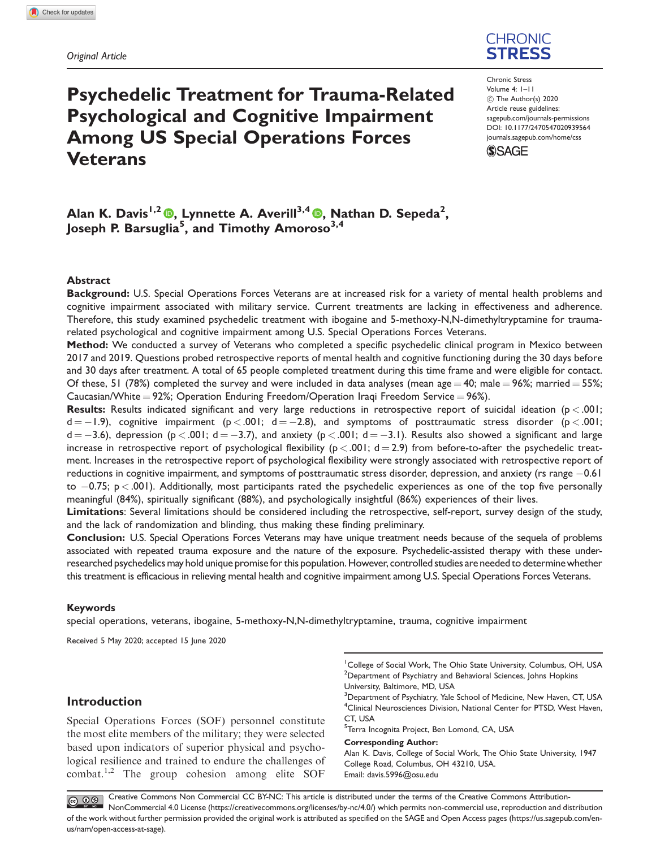# CHRONIC **STRESS**

# Psychedelic Treatment for Trauma-Related Psychological and Cognitive Impairment Among US Special Operations Forces Veterans

Chronic Stress Volume 4: 1–11  $\circled{c}$  The Author(s) 2020 Article reuse guidelines: [sagepub.com/journals-permissions](http://us.sagepub.com/en-us/journals-permissions) [DOI: 10.1177/2470547020939564](http://dx.doi.org/10.1177/2470547020939564) <journals.sagepub.com/home/css>



# Alan K. Davis<sup>1,2</sup> (®, Lynnette A. Averill<sup>3,4</sup> ®, Nathan D. Sepeda<sup>2</sup>, Joseph P. Barsuglia $^{\bf 5}$ , and Timothy Amoroso $^{\bf 3,4}$

#### Abstract

Background: U.S. Special Operations Forces Veterans are at increased risk for a variety of mental health problems and cognitive impairment associated with military service. Current treatments are lacking in effectiveness and adherence. Therefore, this study examined psychedelic treatment with ibogaine and 5-methoxy-N,N-dimethyltryptamine for traumarelated psychological and cognitive impairment among U.S. Special Operations Forces Veterans.

Method: We conducted a survey of Veterans who completed a specific psychedelic clinical program in Mexico between 2017 and 2019. Questions probed retrospective reports of mental health and cognitive functioning during the 30 days before and 30 days after treatment. A total of 65 people completed treatment during this time frame and were eligible for contact. Of these, 51 (78%) completed the survey and were included in data analyses (mean age  $=$  40; male  $=$  96%; married  $=$  55%; Caucasian/White = 92%; Operation Enduring Freedom/Operation Iraqi Freedom Service = 96%).

**Results:** Results indicated significant and very large reductions in retrospective report of suicidal ideation ( $p < .001$ ;  $d = -1.9$ ), cognitive impairment (p  $< .001$ ;  $d = -2.8$ ), and symptoms of posttraumatic stress disorder (p  $< .001$ ;  $d = -3.6$ ), depression (p < .001; d  $= -3.7$ ), and anxiety (p < .001; d  $= -3.1$ ). Results also showed a significant and large increase in retrospective report of psychological flexibility ( $p < .001$ ; d = 2.9) from before-to-after the psychedelic treatment. Increases in the retrospective report of psychological flexibility were strongly associated with retrospective report of reductions in cognitive impairment, and symptoms of posttraumatic stress disorder, depression, and anxiety (rs range -0.61 to  $-0.75$ ; p  $<.001$ ). Additionally, most participants rated the psychedelic experiences as one of the top five personally meaningful (84%), spiritually significant (88%), and psychologically insightful (86%) experiences of their lives.

Limitations: Several limitations should be considered including the retrospective, self-report, survey design of the study, and the lack of randomization and blinding, thus making these finding preliminary.

Conclusion: U.S. Special Operations Forces Veterans may have unique treatment needs because of the sequela of problems associated with repeated trauma exposure and the nature of the exposure. Psychedelic-assisted therapy with these underresearched psychedelics may hold unique promise for this population. However, controlled studies are needed to determine whether this treatment is efficacious in relieving mental health and cognitive impairment among U.S. Special Operations Forces Veterans.

#### Keywords

special operations, veterans, ibogaine, 5-methoxy-N,N-dimethyltryptamine, trauma, cognitive impairment

Received 5 May 2020; accepted 15 June 2020

# Introduction

Special Operations Forces (SOF) personnel constitute the most elite members of the military; they were selected based upon indicators of superior physical and psychological resilience and trained to endure the challenges of combat.1,2 The group cohesion among elite SOF

<sup>1</sup>College of Social Work, The Ohio State University, Columbus, OH, USA <sup>2</sup>Department of Psychiatry and Behavioral Sciences, Johns Hopkins University, Baltimore, MD, USA

 $^3$ Department of Psychiatry, Yale School of Medicine, New Haven, CT, USA <sup>4</sup> Clinical Neurosciences Division, National Center for PTSD, West Haven, CT, USA

<sup>5</sup>Terra Incognita Project, Ben Lomond, CA, USA

Corresponding Author:

Alan K. Davis, College of Social Work, The Ohio State University, 1947 College Road, Columbus, OH 43210, USA. Email: [davis.5996@osu.edu](mailto:davis.5996@osu.edu)

Creative Commons Non Commercial CC BY-NC: This article is distributed under the terms of the Creative Commons Attribution- $\bigodot \bigodot \limits_{w} \bigodot \limits_{w}$ NonCommercial 4.0 License (https://creativecommons.org/licenses/by-nc/4.0/) which permits non-commercial use, reproduction and distribution of the work without further permission provided the original work is attributed as specified on the SAGE and Open Access pages (https://us.sagepub.com/enus/nam/open-access-at-sage).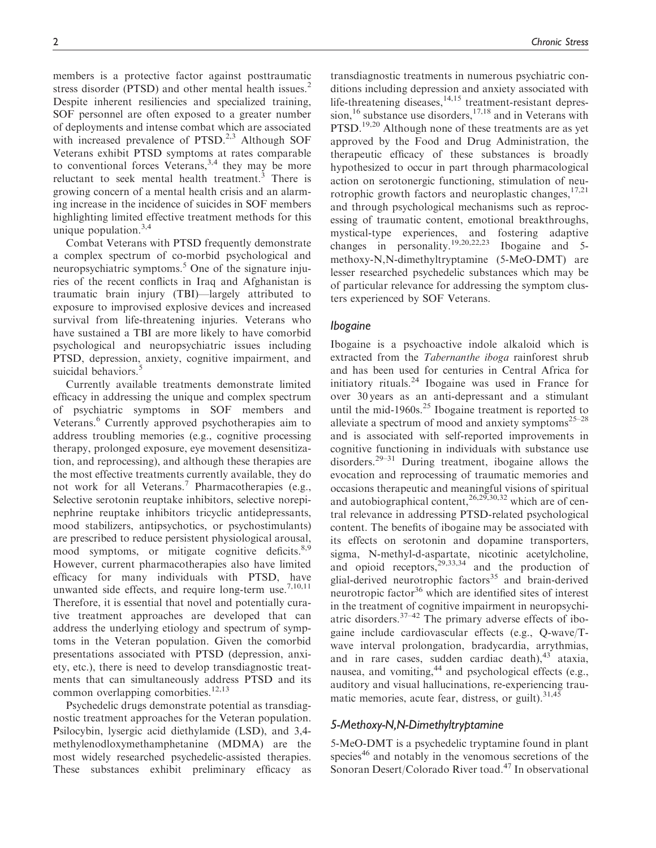members is a protective factor against posttraumatic stress disorder (PTSD) and other mental health issues.<sup>2</sup> Despite inherent resiliencies and specialized training, SOF personnel are often exposed to a greater number of deployments and intense combat which are associated with increased prevalence of  $PTSD<sup>2,3</sup>$  Although SOF Veterans exhibit PTSD symptoms at rates comparable to conventional forces Veterans,  $3,4$  they may be more reluctant to seek mental health treatment.<sup>3</sup> There is growing concern of a mental health crisis and an alarming increase in the incidence of suicides in SOF members highlighting limited effective treatment methods for this unique population. $3,4$ 

Combat Veterans with PTSD frequently demonstrate a complex spectrum of co-morbid psychological and neuropsychiatric symptoms.<sup>5</sup> One of the signature injuries of the recent conflicts in Iraq and Afghanistan is traumatic brain injury (TBI)—largely attributed to exposure to improvised explosive devices and increased survival from life-threatening injuries. Veterans who have sustained a TBI are more likely to have comorbid psychological and neuropsychiatric issues including PTSD, depression, anxiety, cognitive impairment, and suicidal behaviors.<sup>5</sup>

Currently available treatments demonstrate limited efficacy in addressing the unique and complex spectrum of psychiatric symptoms in SOF members and Veterans.<sup>6</sup> Currently approved psychotherapies aim to address troubling memories (e.g., cognitive processing therapy, prolonged exposure, eye movement desensitization, and reprocessing), and although these therapies are the most effective treatments currently available, they do not work for all Veterans.<sup>7</sup> Pharmacotherapies (e.g., Selective serotonin reuptake inhibitors, selective norepinephrine reuptake inhibitors tricyclic antidepressants, mood stabilizers, antipsychotics, or psychostimulants) are prescribed to reduce persistent physiological arousal, mood symptoms, or mitigate cognitive deficits.<sup>8,9</sup> However, current pharmacotherapies also have limited efficacy for many individuals with PTSD, have unwanted side effects, and require long-term use.<sup>7,10,11</sup> Therefore, it is essential that novel and potentially curative treatment approaches are developed that can address the underlying etiology and spectrum of symptoms in the Veteran population. Given the comorbid presentations associated with PTSD (depression, anxiety, etc.), there is need to develop transdiagnostic treatments that can simultaneously address PTSD and its common overlapping comorbities.<sup>12,13</sup>

Psychedelic drugs demonstrate potential as transdiagnostic treatment approaches for the Veteran population. Psilocybin, lysergic acid diethylamide (LSD), and 3,4 methylenodloxymethamphetanine (MDMA) are the most widely researched psychedelic-assisted therapies. These substances exhibit preliminary efficacy as

transdiagnostic treatments in numerous psychiatric conditions including depression and anxiety associated with life-threatening diseases,<sup>14,15</sup> treatment-resistant depression,<sup>16</sup> substance use disorders,<sup>17,18</sup> and in Veterans with PTSD.<sup>19,20</sup> Although none of these treatments are as yet approved by the Food and Drug Administration, the therapeutic efficacy of these substances is broadly hypothesized to occur in part through pharmacological action on serotonergic functioning, stimulation of neurotrophic growth factors and neuroplastic changes,  $17,21$ and through psychological mechanisms such as reprocessing of traumatic content, emotional breakthroughs, mystical-type experiences, and fostering adaptive changes in personality.19,20,22,23 Ibogaine and 5 methoxy-N,N-dimethyltryptamine (5-MeO-DMT) are lesser researched psychedelic substances which may be of particular relevance for addressing the symptom clusters experienced by SOF Veterans.

#### Ibogaine

Ibogaine is a psychoactive indole alkaloid which is extracted from the Tabernanthe iboga rainforest shrub and has been used for centuries in Central Africa for initiatory rituals.<sup>24</sup> Ibogaine was used in France for over 30 years as an anti-depressant and a stimulant until the mid-1960s. $25$  Ibogaine treatment is reported to alleviate a spectrum of mood and anxiety symptoms<sup>25–28</sup> and is associated with self-reported improvements in cognitive functioning in individuals with substance use disorders.<sup>29–31</sup> During treatment, ibogaine allows the evocation and reprocessing of traumatic memories and occasions therapeutic and meaningful visions of spiritual and autobiographical content,  $^{26,29,30,32}$  which are of central relevance in addressing PTSD-related psychological content. The benefits of ibogaine may be associated with its effects on serotonin and dopamine transporters, sigma, N-methyl-d-aspartate, nicotinic acetylcholine, and opioid receptors,  $29,33,34$  and the production of glial-derived neurotrophic factors<sup>35</sup> and brain-derived neurotropic factor<sup>36</sup> which are identified sites of interest in the treatment of cognitive impairment in neuropsychiatric disorders. $37-42$  The primary adverse effects of ibogaine include cardiovascular effects (e.g., Q-wave/Twave interval prolongation, bradycardia, arrythmias, and in rare cases, sudden cardiac death), $43$  ataxia, nausea, and vomiting,<sup>44</sup> and psychological effects (e.g., auditory and visual hallucinations, re-experiencing traumatic memories, acute fear, distress, or guilt).<sup>31,45</sup>

#### 5-Methoxy-N,N-Dimethyltryptamine

5-MeO-DMT is a psychedelic tryptamine found in plant species<sup>46</sup> and notably in the venomous secretions of the Sonoran Desert/Colorado River toad.<sup>47</sup> In observational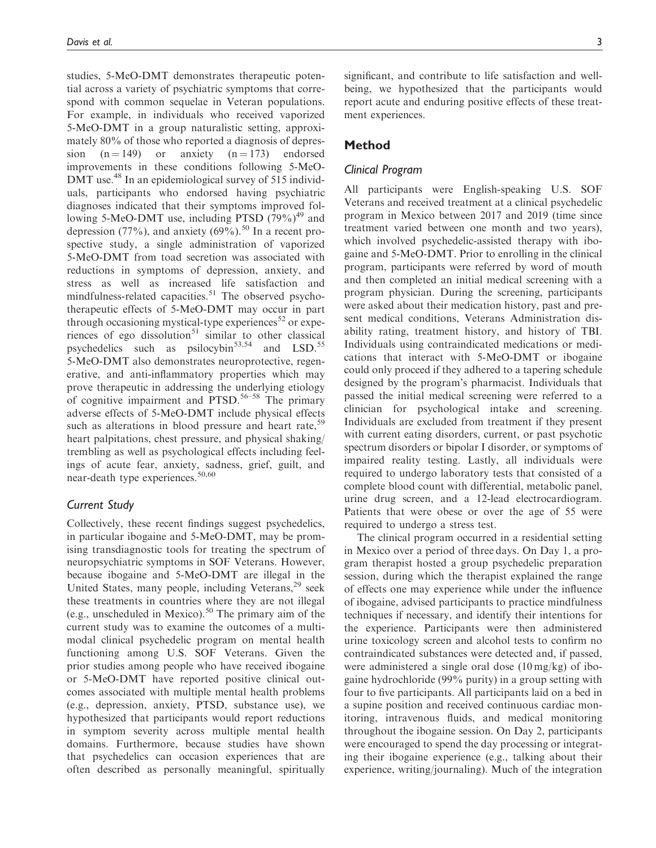studies, 5-MeO-DMT demonstrates therapeutic potential across a variety of psychiatric symptoms that correspond with common sequelae in Veteran populations. For example, in individuals who received vaporized 5-MeO-DMT in a group naturalistic setting, approximately 80% of those who reported a diagnosis of depression  $(n = 149)$  or anxiety  $(n = 173)$  endorsed improvements in these conditions following 5-MeO-DMT use.<sup>48</sup> In an epidemiological survey of 515 individuals, participants who endorsed having psychiatric diagnoses indicated that their symptoms improved following 5-MeO-DMT use, including PTSD  $(79\%)^{49}$  and depression (77%), and anxiety (69%).<sup>50</sup> In a recent prospective study, a single administration of vaporized 5-MeO-DMT from toad secretion was associated with reductions in symptoms of depression, anxiety, and stress as well as increased life satisfaction and mindfulness-related capacities.<sup>51</sup> The observed psychotherapeutic effects of 5-MeO-DMT may occur in part through occasioning mystical-type experiences $52$  or experiences of ego dissolution<sup>51</sup> similar to other classical psychedelics such as psilocybin<sup>53,54</sup> and LSD.<sup>55</sup> 5-MeO-DMT also demonstrates neuroprotective, regenerative, and anti-inflammatory properties which may prove therapeutic in addressing the underlying etiology of cognitive impairment and PTSD.<sup>56–58</sup> The primary adverse effects of 5-MeO-DMT include physical effects such as alterations in blood pressure and heart rate,<sup>59</sup> heart palpitations, chest pressure, and physical shaking/ trembling as well as psychological effects including feelings of acute fear, anxiety, sadness, grief, guilt, and near-death type experiences.<sup>50,60</sup>

#### Current Study

Collectively, these recent findings suggest psychedelics, in particular ibogaine and 5-MeO-DMT, may be promising transdiagnostic tools for treating the spectrum of neuropsychiatric symptoms in SOF Veterans. However, because ibogaine and 5-MeO-DMT are illegal in the United States, many people, including Veterans,<sup>29</sup> seek these treatments in countries where they are not illegal (e.g., unscheduled in Mexico).<sup>50</sup> The primary aim of the current study was to examine the outcomes of a multimodal clinical psychedelic program on mental health functioning among U.S. SOF Veterans. Given the prior studies among people who have received ibogaine or 5-MeO-DMT have reported positive clinical outcomes associated with multiple mental health problems (e.g., depression, anxiety, PTSD, substance use), we hypothesized that participants would report reductions in symptom severity across multiple mental health domains. Furthermore, because studies have shown that psychedelics can occasion experiences that are often described as personally meaningful, spiritually

significant, and contribute to life satisfaction and wellbeing, we hypothesized that the participants would report acute and enduring positive effects of these treatment experiences.

## Method

#### Clinical Program

All participants were English-speaking U.S. SOF Veterans and received treatment at a clinical psychedelic program in Mexico between 2017 and 2019 (time since treatment varied between one month and two years), which involved psychedelic-assisted therapy with ibogaine and 5-MeO-DMT. Prior to enrolling in the clinical program, participants were referred by word of mouth and then completed an initial medical screening with a program physician. During the screening, participants were asked about their medication history, past and present medical conditions, Veterans Administration disability rating, treatment history, and history of TBI. Individuals using contraindicated medications or medications that interact with 5-MeO-DMT or ibogaine could only proceed if they adhered to a tapering schedule designed by the program's pharmacist. Individuals that passed the initial medical screening were referred to a clinician for psychological intake and screening. Individuals are excluded from treatment if they present with current eating disorders, current, or past psychotic spectrum disorders or bipolar I disorder, or symptoms of impaired reality testing. Lastly, all individuals were required to undergo laboratory tests that consisted of a complete blood count with differential, metabolic panel, urine drug screen, and a 12-lead electrocardiogram. Patients that were obese or over the age of 55 were required to undergo a stress test.

The clinical program occurred in a residential setting in Mexico over a period of three days. On Day 1, a program therapist hosted a group psychedelic preparation session, during which the therapist explained the range of effects one may experience while under the influence of ibogaine, advised participants to practice mindfulness techniques if necessary, and identify their intentions for the experience. Participants were then administered urine toxicology screen and alcohol tests to confirm no contraindicated substances were detected and, if passed, were administered a single oral dose (10 mg/kg) of ibogaine hydrochloride (99% purity) in a group setting with four to five participants. All participants laid on a bed in a supine position and received continuous cardiac monitoring, intravenous fluids, and medical monitoring throughout the ibogaine session. On Day 2, participants were encouraged to spend the day processing or integrating their ibogaine experience (e.g., talking about their experience, writing/journaling). Much of the integration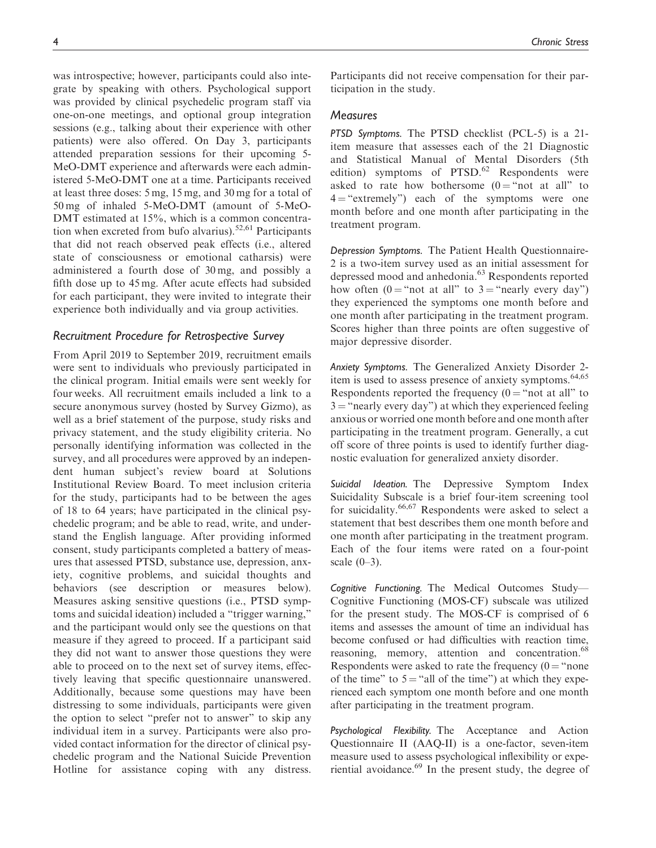was introspective; however, participants could also integrate by speaking with others. Psychological support was provided by clinical psychedelic program staff via one-on-one meetings, and optional group integration sessions (e.g., talking about their experience with other patients) were also offered. On Day 3, participants attended preparation sessions for their upcoming 5- MeO-DMT experience and afterwards were each administered 5-MeO-DMT one at a time. Participants received at least three doses: 5 mg, 15 mg, and 30 mg for a total of 50 mg of inhaled 5-MeO-DMT (amount of 5-MeO-DMT estimated at 15%, which is a common concentration when excreted from bufo alvarius).<sup>52,61</sup> Participants that did not reach observed peak effects (i.e., altered state of consciousness or emotional catharsis) were administered a fourth dose of 30 mg, and possibly a fifth dose up to 45 mg. After acute effects had subsided for each participant, they were invited to integrate their experience both individually and via group activities.

#### Recruitment Procedure for Retrospective Survey

From April 2019 to September 2019, recruitment emails were sent to individuals who previously participated in the clinical program. Initial emails were sent weekly for four weeks. All recruitment emails included a link to a secure anonymous survey (hosted by Survey Gizmo), as well as a brief statement of the purpose, study risks and privacy statement, and the study eligibility criteria. No personally identifying information was collected in the survey, and all procedures were approved by an independent human subject's review board at Solutions Institutional Review Board. To meet inclusion criteria for the study, participants had to be between the ages of 18 to 64 years; have participated in the clinical psychedelic program; and be able to read, write, and understand the English language. After providing informed consent, study participants completed a battery of measures that assessed PTSD, substance use, depression, anxiety, cognitive problems, and suicidal thoughts and behaviors (see description or measures below). Measures asking sensitive questions (i.e., PTSD symptoms and suicidal ideation) included a "trigger warning," and the participant would only see the questions on that measure if they agreed to proceed. If a participant said they did not want to answer those questions they were able to proceed on to the next set of survey items, effectively leaving that specific questionnaire unanswered. Additionally, because some questions may have been distressing to some individuals, participants were given the option to select "prefer not to answer" to skip any individual item in a survey. Participants were also provided contact information for the director of clinical psychedelic program and the National Suicide Prevention Hotline for assistance coping with any distress. Participants did not receive compensation for their participation in the study.

#### Measures

PTSD Symptoms. The PTSD checklist (PCL-5) is a 21 item measure that assesses each of the 21 Diagnostic and Statistical Manual of Mental Disorders (5th edition) symptoms of PTSD.<sup>62</sup> Respondents were asked to rate how bothersome  $(0 = "not at all" to$  $4 =$  "extremely") each of the symptoms were one month before and one month after participating in the treatment program.

Depression Symptoms. The Patient Health Questionnaire-2 is a two-item survey used as an initial assessment for depressed mood and anhedonia.<sup>63</sup> Respondents reported how often  $(0 = "not at all" to 3 = "nearly every day")$ they experienced the symptoms one month before and one month after participating in the treatment program. Scores higher than three points are often suggestive of major depressive disorder.

Anxiety Symptoms. The Generalized Anxiety Disorder 2 item is used to assess presence of anxiety symptoms.<sup>64,65</sup> Respondents reported the frequency  $(0 = "not at all" to$  $3 =$ "nearly every day") at which they experienced feeling anxious or worried one month before and one month after participating in the treatment program. Generally, a cut off score of three points is used to identify further diagnostic evaluation for generalized anxiety disorder.

Suicidal Ideation. The Depressive Symptom Index Suicidality Subscale is a brief four-item screening tool for suicidality.<sup>66,67</sup> Respondents were asked to select a statement that best describes them one month before and one month after participating in the treatment program. Each of the four items were rated on a four-point scale  $(0-3)$ .

Cognitive Functioning. The Medical Outcomes Study— Cognitive Functioning (MOS-CF) subscale was utilized for the present study. The MOS-CF is comprised of 6 items and assesses the amount of time an individual has become confused or had difficulties with reaction time, reasoning, memory, attention and concentration.<sup>68</sup> Respondents were asked to rate the frequency  $(0 = "none$ of the time" to  $5 =$  "all of the time") at which they experienced each symptom one month before and one month after participating in the treatment program.

Psychological Flexibility. The Acceptance and Action Questionnaire II (AAQ-II) is a one-factor, seven-item measure used to assess psychological inflexibility or experiential avoidance.<sup>69</sup> In the present study, the degree of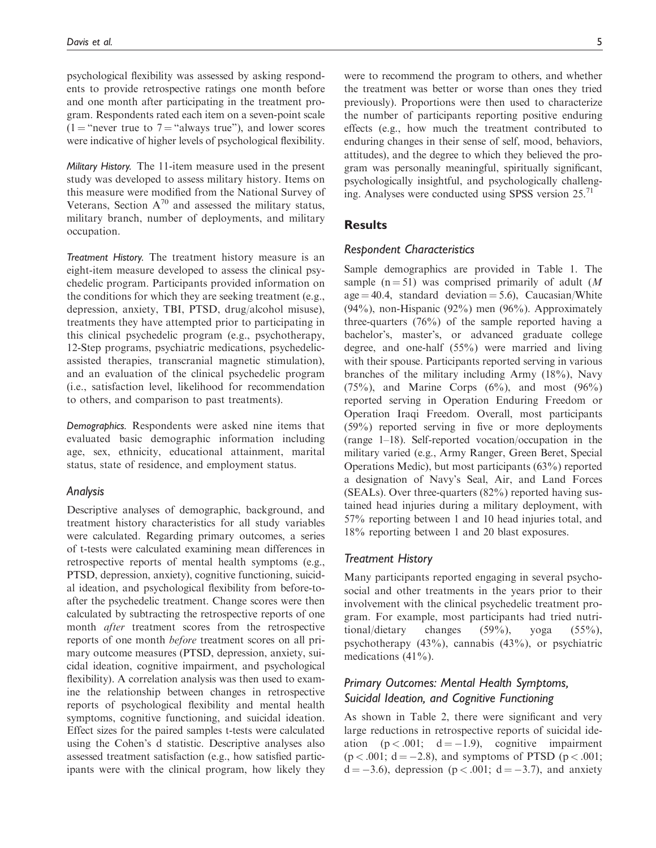psychological flexibility was assessed by asking respondents to provide retrospective ratings one month before and one month after participating in the treatment program. Respondents rated each item on a seven-point scale (1 = "never true to 7 = "always true"), and lower scores were indicative of higher levels of psychological flexibility.

Military History. The 11-item measure used in the present study was developed to assess military history. Items on this measure were modified from the National Survey of Veterans, Section  $A^{70}$  and assessed the military status, military branch, number of deployments, and military occupation.

Treatment History. The treatment history measure is an eight-item measure developed to assess the clinical psychedelic program. Participants provided information on the conditions for which they are seeking treatment (e.g., depression, anxiety, TBI, PTSD, drug/alcohol misuse), treatments they have attempted prior to participating in this clinical psychedelic program (e.g., psychotherapy, 12-Step programs, psychiatric medications, psychedelicassisted therapies, transcranial magnetic stimulation), and an evaluation of the clinical psychedelic program (i.e., satisfaction level, likelihood for recommendation to others, and comparison to past treatments).

Demographics. Respondents were asked nine items that evaluated basic demographic information including age, sex, ethnicity, educational attainment, marital status, state of residence, and employment status.

#### Analysis

Descriptive analyses of demographic, background, and treatment history characteristics for all study variables were calculated. Regarding primary outcomes, a series of t-tests were calculated examining mean differences in retrospective reports of mental health symptoms (e.g., PTSD, depression, anxiety), cognitive functioning, suicidal ideation, and psychological flexibility from before-toafter the psychedelic treatment. Change scores were then calculated by subtracting the retrospective reports of one month *after* treatment scores from the retrospective reports of one month before treatment scores on all primary outcome measures (PTSD, depression, anxiety, suicidal ideation, cognitive impairment, and psychological flexibility). A correlation analysis was then used to examine the relationship between changes in retrospective reports of psychological flexibility and mental health symptoms, cognitive functioning, and suicidal ideation. Effect sizes for the paired samples t-tests were calculated using the Cohen's d statistic. Descriptive analyses also assessed treatment satisfaction (e.g., how satisfied participants were with the clinical program, how likely they were to recommend the program to others, and whether the treatment was better or worse than ones they tried previously). Proportions were then used to characterize the number of participants reporting positive enduring effects (e.g., how much the treatment contributed to enduring changes in their sense of self, mood, behaviors, attitudes), and the degree to which they believed the program was personally meaningful, spiritually significant,

psychologically insightful, and psychologically challenging. Analyses were conducted using SPSS version  $25$ .<sup>71</sup>

**Results** 

#### Respondent Characteristics

Sample demographics are provided in Table 1. The sample ( $n = 51$ ) was comprised primarily of adult (M)  $age = 40.4$ , standard deviation = 5.6), Caucasian/White (94%), non-Hispanic (92%) men (96%). Approximately three-quarters (76%) of the sample reported having a bachelor's, master's, or advanced graduate college degree, and one-half (55%) were married and living with their spouse. Participants reported serving in various branches of the military including Army (18%), Navy  $(75\%)$ , and Marine Corps  $(6\%)$ , and most  $(96\%)$ reported serving in Operation Enduring Freedom or Operation Iraqi Freedom. Overall, most participants (59%) reported serving in five or more deployments (range 1–18). Self-reported vocation/occupation in the military varied (e.g., Army Ranger, Green Beret, Special Operations Medic), but most participants (63%) reported a designation of Navy's Seal, Air, and Land Forces (SEALs). Over three-quarters (82%) reported having sustained head injuries during a military deployment, with 57% reporting between 1 and 10 head injuries total, and 18% reporting between 1 and 20 blast exposures.

#### Treatment History

Many participants reported engaging in several psychosocial and other treatments in the years prior to their involvement with the clinical psychedelic treatment program. For example, most participants had tried nutritional/dietary changes (59%), yoga (55%), psychotherapy (43%), cannabis (43%), or psychiatric medications (41%).

# Primary Outcomes: Mental Health Symptoms, Suicidal Ideation, and Cognitive Functioning

As shown in Table 2, there were significant and very large reductions in retrospective reports of suicidal ideation  $(p < .001; d = -1.9)$ , cognitive impairment  $(p < .001; d = -2.8)$ , and symptoms of PTSD  $(p < .001;$  $d = -3.6$ , depression ( $p < .001$ ;  $d = -3.7$ ), and anxiety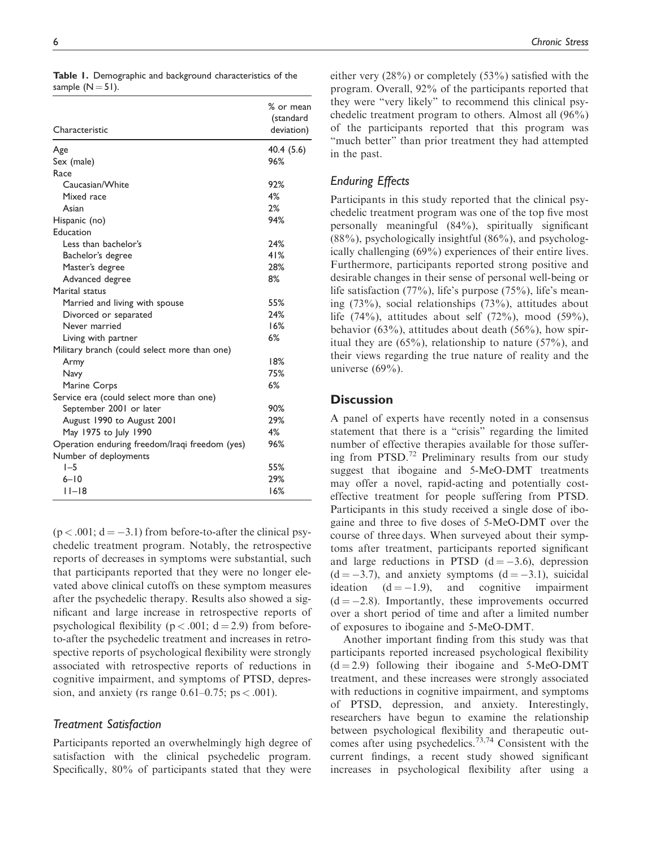|  |                      |  | Table 1. Demographic and background characteristics of the |  |
|--|----------------------|--|------------------------------------------------------------|--|
|  | sample ( $N = 51$ ). |  |                                                            |  |

|                                                | % or mean<br>(standard |
|------------------------------------------------|------------------------|
| Characteristic                                 | deviation)             |
| Age                                            | 40.4 (5.6)             |
| Sex (male)                                     | 96%                    |
| Race                                           |                        |
| Caucasian/White                                | 92%                    |
| Mixed race                                     | 4%                     |
| Asian                                          | 2%                     |
| Hispanic (no)                                  | 94%                    |
| Education                                      |                        |
| Less than bachelor's                           | 24%                    |
| Bachelor's degree                              | 41%                    |
| Master's degree                                | 28%                    |
| Advanced degree                                | 8%                     |
| Marital status                                 |                        |
| Married and living with spouse                 | 55%                    |
| Divorced or separated                          | 24%                    |
| Never married                                  | 16%                    |
| Living with partner                            | 6%                     |
| Military branch (could select more than one)   |                        |
| Army                                           | 18%                    |
| Navy                                           | 75%                    |
| Marine Corps                                   | 6%                     |
| Service era (could select more than one)       |                        |
| September 2001 or later                        | 90%                    |
| August 1990 to August 2001                     | 29%                    |
| May 1975 to July 1990                          | 4%                     |
| Operation enduring freedom/Iraqi freedom (yes) | 96%                    |
| Number of deployments                          |                        |
| $I - 5$                                        | 55%                    |
| $6 - 10$                                       | 29%                    |
| $ I -18$                                       | 16%                    |

 $(p < .001; d = -3.1)$  from before-to-after the clinical psychedelic treatment program. Notably, the retrospective reports of decreases in symptoms were substantial, such that participants reported that they were no longer elevated above clinical cutoffs on these symptom measures after the psychedelic therapy. Results also showed a significant and large increase in retrospective reports of psychological flexibility ( $p < .001$ ;  $d = 2.9$ ) from beforeto-after the psychedelic treatment and increases in retrospective reports of psychological flexibility were strongly associated with retrospective reports of reductions in cognitive impairment, and symptoms of PTSD, depression, and anxiety (rs range  $0.61-0.75$ ; ps < .001).

#### Treatment Satisfaction

Participants reported an overwhelmingly high degree of satisfaction with the clinical psychedelic program. Specifically, 80% of participants stated that they were either very (28%) or completely (53%) satisfied with the program. Overall, 92% of the participants reported that they were "very likely" to recommend this clinical psychedelic treatment program to others. Almost all (96%) of the participants reported that this program was "much better" than prior treatment they had attempted in the past.

#### Enduring Effects

Participants in this study reported that the clinical psychedelic treatment program was one of the top five most personally meaningful (84%), spiritually significant  $(88\%)$ , psychologically insightful  $(86\%)$ , and psychologically challenging (69%) experiences of their entire lives. Furthermore, participants reported strong positive and desirable changes in their sense of personal well-being or life satisfaction (77%), life's purpose (75%), life's meaning (73%), social relationships (73%), attitudes about life  $(74\%)$ , attitudes about self  $(72\%)$ , mood  $(59\%)$ , behavior (63%), attitudes about death (56%), how spiritual they are  $(65\%)$ , relationship to nature  $(57\%)$ , and their views regarding the true nature of reality and the universe  $(69\%)$ .

## **Discussion**

A panel of experts have recently noted in a consensus statement that there is a "crisis" regarding the limited number of effective therapies available for those suffering from PTSD.<sup>72</sup> Preliminary results from our study suggest that ibogaine and 5-MeO-DMT treatments may offer a novel, rapid-acting and potentially costeffective treatment for people suffering from PTSD. Participants in this study received a single dose of ibogaine and three to five doses of 5-MeO-DMT over the course of three days. When surveyed about their symptoms after treatment, participants reported significant and large reductions in PTSD  $(d = -3.6)$ , depression  $(d = -3.7)$ , and anxiety symptoms  $(d = -3.1)$ , suicidal ideation  $(d = -1.9)$ , and cognitive impairment  $(d = -2.8)$ . Importantly, these improvements occurred over a short period of time and after a limited number of exposures to ibogaine and 5-MeO-DMT.

Another important finding from this study was that participants reported increased psychological flexibility  $(d = 2.9)$  following their ibogaine and 5-MeO-DMT treatment, and these increases were strongly associated with reductions in cognitive impairment, and symptoms of PTSD, depression, and anxiety. Interestingly, researchers have begun to examine the relationship between psychological flexibility and therapeutic outcomes after using psychedelics.<sup>73,74</sup> Consistent with the current findings, a recent study showed significant increases in psychological flexibility after using a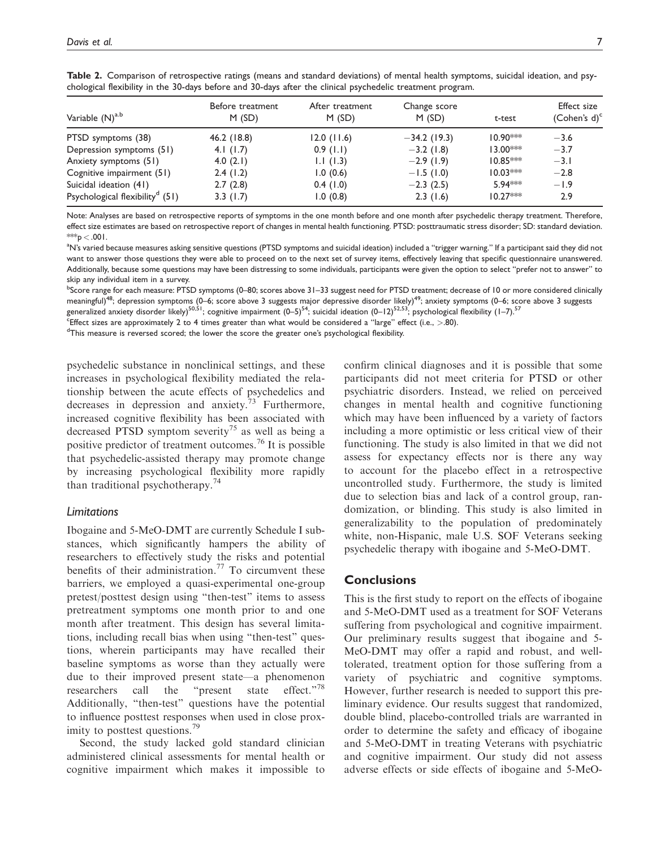| Variable $(N)^{a,b}$                        | Before treatment<br>M(SD) | After treatment<br>M(SD) | Change score<br>M(SD) | t-test     | <b>Effect size</b><br>(Cohen's $d$ ) <sup>c</sup> |  |
|---------------------------------------------|---------------------------|--------------------------|-----------------------|------------|---------------------------------------------------|--|
| PTSD symptoms (38)                          | 46.2 (18.8)               | 12.0(11.6)               | $-34.2$ (19.3)        | $10.90***$ | $-3.6$                                            |  |
| Depression symptoms (51)                    | 4.1 $(1.7)$               | 0.9(1.1)                 | $-3.2$ (1.8)          | $13.00***$ | $-3.7$                                            |  |
| Anxiety symptoms (51)                       | 4.0 $(2.1)$               | 1.1(1.3)                 | $-2.9(1.9)$           | $10.85***$ | $-3.1$                                            |  |
| Cognitive impairment (51)                   | 2.4(1.2)                  | 1.0(0.6)                 | $-1.5(1.0)$           | $10.03***$ | $-2.8$                                            |  |
| Suicidal ideation (41)                      | 2.7(2.8)                  | 0.4(1.0)                 | $-2.3(2.5)$           | 5.94***    | $-1.9$                                            |  |
| Psychological flexibility <sup>d</sup> (51) | 3.3(1.7)                  | 1.0(0.8)                 | 2.3(1.6)              | $10.27***$ | 2.9                                               |  |

Table 2. Comparison of retrospective ratings (means and standard deviations) of mental health symptoms, suicidal ideation, and psychological flexibility in the 30-days before and 30-days after the clinical psychedelic treatment program.

Note: Analyses are based on retrospective reports of symptoms in the one month before and one month after psychedelic therapy treatment. Therefore, effect size estimates are based on retrospective report of changes in mental health functioning. PTSD: posttraumatic stress disorder; SD: standard deviation. \*\*\*p  $<.001$ .

<sup>a</sup>N's varied because measures asking sensitive questions (PTSD symptoms and suicidal ideation) included a "trigger warning." If a participant said they did not want to answer those questions they were able to proceed on to the next set of survey items, effectively leaving that specific questionnaire unanswered. Additionally, because some questions may have been distressing to some individuals, participants were given the option to select "prefer not to answer" to skip any individual item in a survey.

<sup>b</sup>Score range for each measure: PTSD symptoms (0–80; scores above 31–33 suggest need for PTSD treatment; decrease of 10 or more considered clinically meaningful)<sup>48</sup>; depression symptoms (0–6; score above 3 suggests major depressive disorder likely)<sup>49</sup>; anxiety symptoms (0–6; score above 3 suggests

generalized anxiety disorder likely)<sup>50,51</sup>; cognitive impairment  $(0-5)^{54}$ ; suicidal ideation  $(0-12)^{52,53}$ ; psychological flexibility  $(1-7)$ ,  $^{57}$ 

Effect sizes are approximately 2 to 4 times greater than what would be considered a "large" effect (i.e., >.80).<br><sup>d</sup>This moasure is reversed scenad: the lower the scena the greater one's psychological flexibility.

 $<sup>d</sup>$ This measure is reversed scored; the lower the score the greater one's psychological flexibility.</sup>

psychedelic substance in nonclinical settings, and these increases in psychological flexibility mediated the relationship between the acute effects of psychedelics and decreases in depression and anxiety.<sup>73</sup> Furthermore, increased cognitive flexibility has been associated with decreased PTSD symptom severity<sup>75</sup> as well as being a positive predictor of treatment outcomes.<sup>76</sup> It is possible that psychedelic-assisted therapy may promote change by increasing psychological flexibility more rapidly than traditional psychotherapy.<sup>74</sup>

#### Limitations

Ibogaine and 5-MeO-DMT are currently Schedule I substances, which significantly hampers the ability of researchers to effectively study the risks and potential benefits of their administration.<sup>77</sup> To circumvent these barriers, we employed a quasi-experimental one-group pretest/posttest design using "then-test" items to assess pretreatment symptoms one month prior to and one month after treatment. This design has several limitations, including recall bias when using "then-test" questions, wherein participants may have recalled their baseline symptoms as worse than they actually were due to their improved present state—a phenomenon researchers call the "present state effect."<sup>78</sup> Additionally, "then-test" questions have the potential to influence posttest responses when used in close proximity to posttest questions.<sup>79</sup>

Second, the study lacked gold standard clinician administered clinical assessments for mental health or cognitive impairment which makes it impossible to

confirm clinical diagnoses and it is possible that some participants did not meet criteria for PTSD or other psychiatric disorders. Instead, we relied on perceived changes in mental health and cognitive functioning which may have been influenced by a variety of factors including a more optimistic or less critical view of their functioning. The study is also limited in that we did not assess for expectancy effects nor is there any way to account for the placebo effect in a retrospective uncontrolled study. Furthermore, the study is limited due to selection bias and lack of a control group, randomization, or blinding. This study is also limited in generalizability to the population of predominately white, non-Hispanic, male U.S. SOF Veterans seeking psychedelic therapy with ibogaine and 5-MeO-DMT.

### **Conclusions**

This is the first study to report on the effects of ibogaine and 5-MeO-DMT used as a treatment for SOF Veterans suffering from psychological and cognitive impairment. Our preliminary results suggest that ibogaine and 5- MeO-DMT may offer a rapid and robust, and welltolerated, treatment option for those suffering from a variety of psychiatric and cognitive symptoms. However, further research is needed to support this preliminary evidence. Our results suggest that randomized, double blind, placebo-controlled trials are warranted in order to determine the safety and efficacy of ibogaine and 5-MeO-DMT in treating Veterans with psychiatric and cognitive impairment. Our study did not assess adverse effects or side effects of ibogaine and 5-MeO-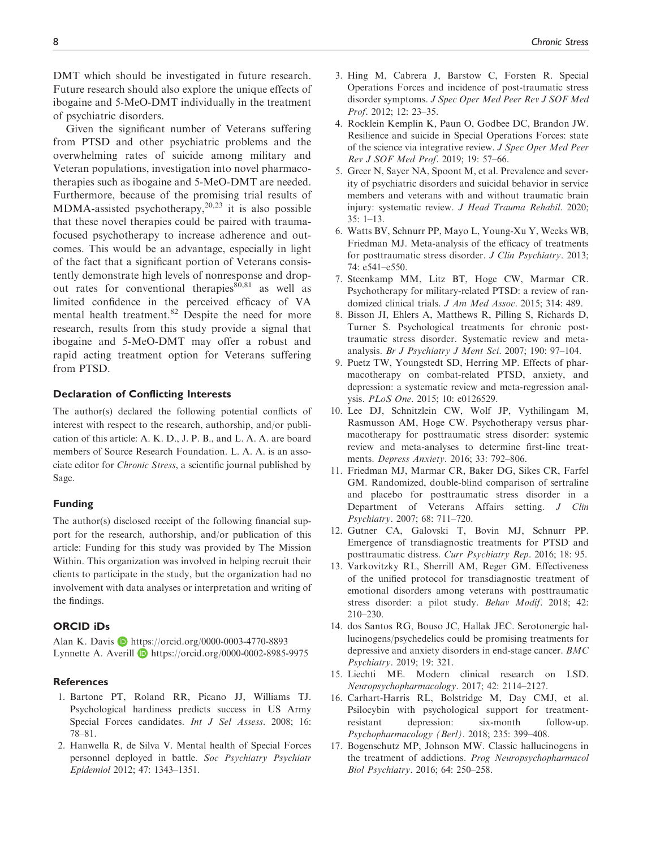DMT which should be investigated in future research. Future research should also explore the unique effects of ibogaine and 5-MeO-DMT individually in the treatment of psychiatric disorders.

Given the significant number of Veterans suffering from PTSD and other psychiatric problems and the overwhelming rates of suicide among military and Veteran populations, investigation into novel pharmacotherapies such as ibogaine and 5-MeO-DMT are needed. Furthermore, because of the promising trial results of MDMA-assisted psychotherapy, $20,23$  it is also possible that these novel therapies could be paired with traumafocused psychotherapy to increase adherence and outcomes. This would be an advantage, especially in light of the fact that a significant portion of Veterans consistently demonstrate high levels of nonresponse and dropout rates for conventional therapies $80,81$  as well as limited confidence in the perceived efficacy of VA mental health treatment.<sup>82</sup> Despite the need for more research, results from this study provide a signal that ibogaine and 5-MeO-DMT may offer a robust and rapid acting treatment option for Veterans suffering from PTSD.

#### Declaration of Conflicting Interests

The author(s) declared the following potential conflicts of interest with respect to the research, authorship, and/or publication of this article: A. K. D., J. P. B., and L. A. A. are board members of Source Research Foundation. L. A. A. is an associate editor for Chronic Stress, a scientific journal published by Sage.

#### Funding

The author(s) disclosed receipt of the following financial support for the research, authorship, and/or publication of this article: Funding for this study was provided by The Mission Within. This organization was involved in helping recruit their clients to participate in the study, but the organization had no involvement with data analyses or interpretation and writing of the findings.

# ORCID iDs

Alan K. Davis **b** <https://orcid.org/0000-0003-4770-8893> Lynnette A. Averill D <https://orcid.org/0000-0002-8985-9975>

#### **References**

- 1. Bartone PT, Roland RR, Picano JJ, Williams TJ. Psychological hardiness predicts success in US Army Special Forces candidates. *Int J Sel Assess*. 2008; 16: 78–81.
- 2. Hanwella R, de Silva V. Mental health of Special Forces personnel deployed in battle. Soc Psychiatry Psychiatr Epidemiol 2012; 47: 1343–1351.
- 3. Hing M, Cabrera J, Barstow C, Forsten R. Special Operations Forces and incidence of post-traumatic stress disorder symptoms. J Spec Oper Med Peer Rev J SOF Med Prof. 2012; 12: 23–35.
- 4. Rocklein Kemplin K, Paun O, Godbee DC, Brandon JW. Resilience and suicide in Special Operations Forces: state of the science via integrative review. J Spec Oper Med Peer Rev J SOF Med Prof. 2019; 19: 57–66.
- 5. Greer N, Sayer NA, Spoont M, et al. Prevalence and severity of psychiatric disorders and suicidal behavior in service members and veterans with and without traumatic brain injury: systematic review. J Head Trauma Rehabil. 2020; 35: 1–13.
- 6. Watts BV, Schnurr PP, Mayo L, Young-Xu Y, Weeks WB, Friedman MJ. Meta-analysis of the efficacy of treatments for posttraumatic stress disorder. J Clin Psychiatry. 2013; 74: e541–e550.
- 7. Steenkamp MM, Litz BT, Hoge CW, Marmar CR. Psychotherapy for military-related PTSD: a review of randomized clinical trials. J Am Med Assoc. 2015; 314: 489.
- 8. Bisson JI, Ehlers A, Matthews R, Pilling S, Richards D, Turner S. Psychological treatments for chronic posttraumatic stress disorder. Systematic review and metaanalysis. Br J Psychiatry J Ment Sci. 2007; 190: 97–104.
- 9. Puetz TW, Youngstedt SD, Herring MP. Effects of pharmacotherapy on combat-related PTSD, anxiety, and depression: a systematic review and meta-regression analysis. PLoS One. 2015; 10: e0126529.
- 10. Lee DJ, Schnitzlein CW, Wolf JP, Vythilingam M, Rasmusson AM, Hoge CW. Psychotherapy versus pharmacotherapy for posttraumatic stress disorder: systemic review and meta-analyses to determine first-line treatments. Depress Anxiety. 2016; 33: 792–806.
- 11. Friedman MJ, Marmar CR, Baker DG, Sikes CR, Farfel GM. Randomized, double-blind comparison of sertraline and placebo for posttraumatic stress disorder in a Department of Veterans Affairs setting. J Clin Psychiatry. 2007; 68: 711–720.
- 12. Gutner CA, Galovski T, Bovin MJ, Schnurr PP. Emergence of transdiagnostic treatments for PTSD and posttraumatic distress. Curr Psychiatry Rep. 2016; 18: 95.
- 13. Varkovitzky RL, Sherrill AM, Reger GM. Effectiveness of the unified protocol for transdiagnostic treatment of emotional disorders among veterans with posttraumatic stress disorder: a pilot study. Behav Modif. 2018; 42: 210–230.
- 14. dos Santos RG, Bouso JC, Hallak JEC. Serotonergic hallucinogens/psychedelics could be promising treatments for depressive and anxiety disorders in end-stage cancer. BMC Psychiatry. 2019; 19: 321.
- 15. Liechti ME. Modern clinical research on LSD. Neuropsychopharmacology. 2017; 42: 2114–2127.
- 16. Carhart-Harris RL, Bolstridge M, Day CMJ, et al. Psilocybin with psychological support for treatmentresistant depression: six-month follow-up. Psychopharmacology (Berl). 2018; 235: 399–408.
- 17. Bogenschutz MP, Johnson MW. Classic hallucinogens in the treatment of addictions. Prog Neuropsychopharmacol Biol Psychiatry. 2016; 64: 250–258.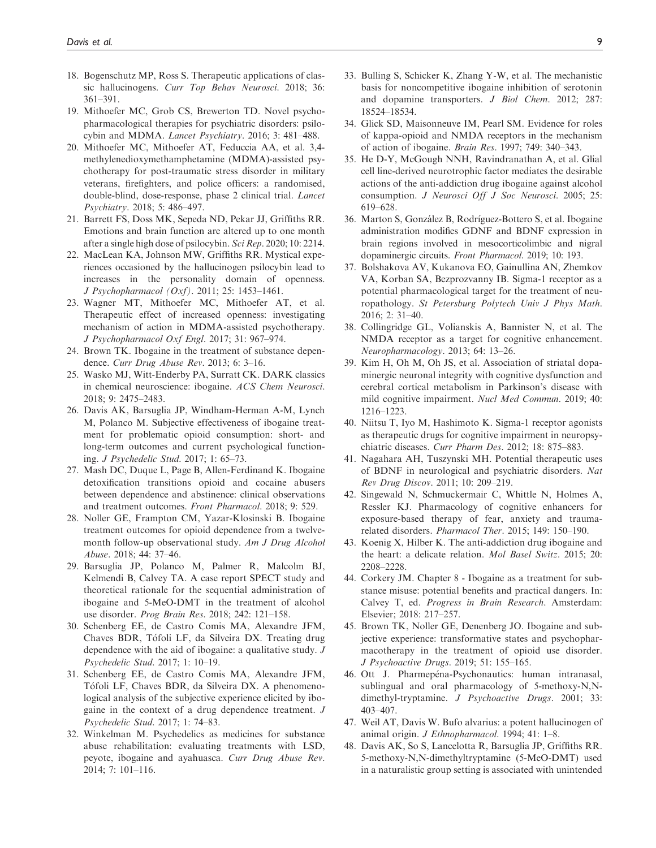- 18. Bogenschutz MP, Ross S. Therapeutic applications of classic hallucinogens. Curr Top Behav Neurosci. 2018; 36: 361–391.
- 19. Mithoefer MC, Grob CS, Brewerton TD. Novel psychopharmacological therapies for psychiatric disorders: psilocybin and MDMA. Lancet Psychiatry. 2016; 3: 481–488.
- 20. Mithoefer MC, Mithoefer AT, Feduccia AA, et al. 3,4 methylenedioxymethamphetamine (MDMA)-assisted psychotherapy for post-traumatic stress disorder in military veterans, firefighters, and police officers: a randomised, double-blind, dose-response, phase 2 clinical trial. Lancet Psychiatry. 2018; 5: 486–497.
- 21. Barrett FS, Doss MK, Sepeda ND, Pekar JJ, Griffiths RR. Emotions and brain function are altered up to one month after a single high dose of psilocybin. Sci Rep. 2020; 10: 2214.
- 22. MacLean KA, Johnson MW, Griffiths RR. Mystical experiences occasioned by the hallucinogen psilocybin lead to increases in the personality domain of openness. J Psychopharmacol (Oxf). 2011; 25: 1453–1461.
- 23. Wagner MT, Mithoefer MC, Mithoefer AT, et al. Therapeutic effect of increased openness: investigating mechanism of action in MDMA-assisted psychotherapy. J Psychopharmacol Oxf Engl. 2017; 31: 967–974.
- 24. Brown TK. Ibogaine in the treatment of substance dependence. Curr Drug Abuse Rev. 2013; 6: 3–16.
- 25. Wasko MJ, Witt-Enderby PA, Surratt CK. DARK classics in chemical neuroscience: ibogaine. ACS Chem Neurosci. 2018; 9: 2475–2483.
- 26. Davis AK, Barsuglia JP, Windham-Herman A-M, Lynch M, Polanco M. Subjective effectiveness of ibogaine treatment for problematic opioid consumption: short- and long-term outcomes and current psychological functioning. J Psychedelic Stud. 2017; 1: 65–73.
- 27. Mash DC, Duque L, Page B, Allen-Ferdinand K. Ibogaine detoxification transitions opioid and cocaine abusers between dependence and abstinence: clinical observations and treatment outcomes. Front Pharmacol. 2018; 9: 529.
- 28. Noller GE, Frampton CM, Yazar-Klosinski B. Ibogaine treatment outcomes for opioid dependence from a twelvemonth follow-up observational study. Am J Drug Alcohol Abuse. 2018; 44: 37–46.
- 29. Barsuglia JP, Polanco M, Palmer R, Malcolm BJ, Kelmendi B, Calvey TA. A case report SPECT study and theoretical rationale for the sequential administration of ibogaine and 5-MeO-DMT in the treatment of alcohol use disorder. Prog Brain Res. 2018; 242: 121–158.
- 30. Schenberg EE, de Castro Comis MA, Alexandre JFM, Chaves BDR, Tofoli LF, da Silveira DX. Treating drug dependence with the aid of ibogaine: a qualitative study. J Psychedelic Stud. 2017; 1: 10–19.
- 31. Schenberg EE, de Castro Comis MA, Alexandre JFM, Tofoli LF, Chaves BDR, da Silveira DX. A phenomeno logical analysis of the subjective experience elicited by ibogaine in the context of a drug dependence treatment. J Psychedelic Stud. 2017; 1: 74–83.
- 32. Winkelman M. Psychedelics as medicines for substance abuse rehabilitation: evaluating treatments with LSD, peyote, ibogaine and ayahuasca. Curr Drug Abuse Rev. 2014; 7: 101–116.
- 33. Bulling S, Schicker K, Zhang Y-W, et al. The mechanistic basis for noncompetitive ibogaine inhibition of serotonin and dopamine transporters. J Biol Chem. 2012; 287: 18524–18534.
- 34. Glick SD, Maisonneuve IM, Pearl SM. Evidence for roles of kappa-opioid and NMDA receptors in the mechanism of action of ibogaine. Brain Res. 1997; 749: 340–343.
- 35. He D-Y, McGough NNH, Ravindranathan A, et al. Glial cell line-derived neurotrophic factor mediates the desirable actions of the anti-addiction drug ibogaine against alcohol consumption. J Neurosci Off J Soc Neurosci. 2005; 25: 619–628.
- 36. Marton S, González B, Rodríguez-Bottero S, et al. Ibogaine administration modifies GDNF and BDNF expression in brain regions involved in mesocorticolimbic and nigral dopaminergic circuits. Front Pharmacol. 2019; 10: 193.
- 37. Bolshakova AV, Kukanova EO, Gainullina AN, Zhemkov VA, Korban SA, Bezprozvanny IB. Sigma-1 receptor as a potential pharmacological target for the treatment of neuropathology. St Petersburg Polytech Univ J Phys Math. 2016; 2: 31–40.
- 38. Collingridge GL, Volianskis A, Bannister N, et al. The NMDA receptor as a target for cognitive enhancement. Neuropharmacology. 2013; 64: 13–26.
- 39. Kim H, Oh M, Oh JS, et al. Association of striatal dopaminergic neuronal integrity with cognitive dysfunction and cerebral cortical metabolism in Parkinson's disease with mild cognitive impairment. Nucl Med Commun. 2019; 40: 1216–1223.
- 40. Niitsu T, Iyo M, Hashimoto K. Sigma-1 receptor agonists as therapeutic drugs for cognitive impairment in neuropsychiatric diseases. Curr Pharm Des. 2012; 18: 875–883.
- 41. Nagahara AH, Tuszynski MH. Potential therapeutic uses of BDNF in neurological and psychiatric disorders. Nat Rev Drug Discov. 2011; 10: 209–219.
- 42. Singewald N, Schmuckermair C, Whittle N, Holmes A, Ressler KJ. Pharmacology of cognitive enhancers for exposure-based therapy of fear, anxiety and traumarelated disorders. Pharmacol Ther. 2015; 149: 150–190.
- 43. Koenig X, Hilber K. The anti-addiction drug ibogaine and the heart: a delicate relation. Mol Basel Switz. 2015; 20: 2208–2228.
- 44. Corkery JM. Chapter 8 Ibogaine as a treatment for substance misuse: potential benefits and practical dangers. In: Calvey T, ed. Progress in Brain Research. Amsterdam: Elsevier; 2018: 217–257.
- 45. Brown TK, Noller GE, Denenberg JO. Ibogaine and subjective experience: transformative states and psychopharmacotherapy in the treatment of opioid use disorder. J Psychoactive Drugs. 2019; 51: 155–165.
- 46. Ott J. Pharmepéna-Psychonautics: human intranasal, sublingual and oral pharmacology of 5-methoxy-N,Ndimethyl-tryptamine. J Psychoactive Drugs. 2001; 33: 403–407.
- 47. Weil AT, Davis W. Bufo alvarius: a potent hallucinogen of animal origin. J Ethnopharmacol. 1994; 41: 1–8.
- 48. Davis AK, So S, Lancelotta R, Barsuglia JP, Griffiths RR. 5-methoxy-N,N-dimethyltryptamine (5-MeO-DMT) used in a naturalistic group setting is associated with unintended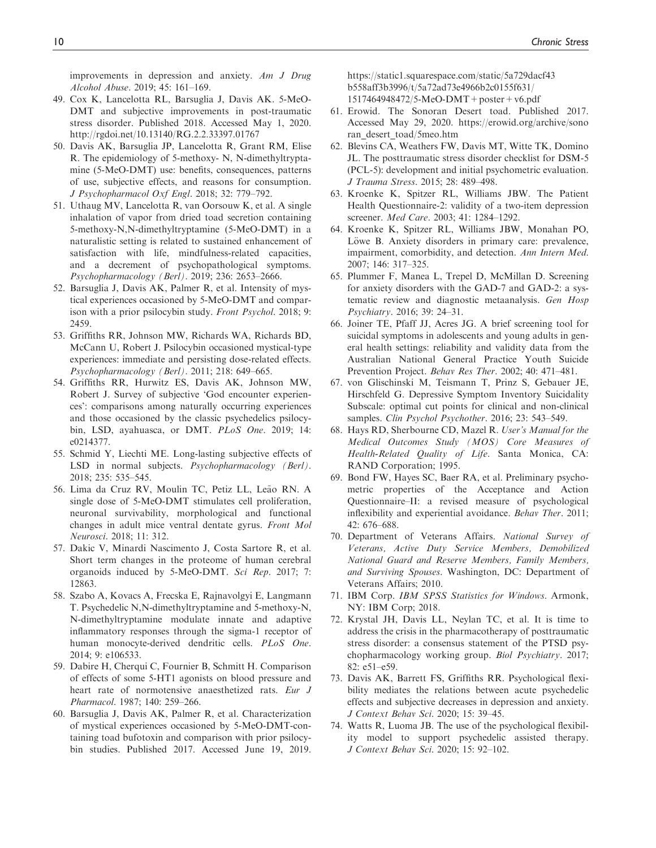improvements in depression and anxiety. Am J Drug Alcohol Abuse. 2019; 45: 161–169.

- 49. Cox K, Lancelotta RL, Barsuglia J, Davis AK. 5-MeO-DMT and subjective improvements in post-traumatic stress disorder. Published 2018. Accessed May 1, 2020. <http://rgdoi.net/10.13140/RG.2.2.33397.01767>
- 50. Davis AK, Barsuglia JP, Lancelotta R, Grant RM, Elise R. The epidemiology of 5-methoxy- N, N-dimethyltryptamine (5-MeO-DMT) use: benefits, consequences, patterns of use, subjective effects, and reasons for consumption. J Psychopharmacol Oxf Engl. 2018; 32: 779–792.
- 51. Uthaug MV, Lancelotta R, van Oorsouw K, et al. A single inhalation of vapor from dried toad secretion containing 5-methoxy-N,N-dimethyltryptamine (5-MeO-DMT) in a naturalistic setting is related to sustained enhancement of satisfaction with life, mindfulness-related capacities, and a decrement of psychopathological symptoms. Psychopharmacology (Berl). 2019; 236: 2653–2666.
- 52. Barsuglia J, Davis AK, Palmer R, et al. Intensity of mystical experiences occasioned by 5-MeO-DMT and comparison with a prior psilocybin study. Front Psychol. 2018; 9: 2459.
- 53. Griffiths RR, Johnson MW, Richards WA, Richards BD, McCann U, Robert J. Psilocybin occasioned mystical-type experiences: immediate and persisting dose-related effects. Psychopharmacology (Berl). 2011; 218: 649–665.
- 54. Griffiths RR, Hurwitz ES, Davis AK, Johnson MW, Robert J. Survey of subjective 'God encounter experiences': comparisons among naturally occurring experiences and those occasioned by the classic psychedelics psilocybin, LSD, ayahuasca, or DMT. PLoS One. 2019; 14: e0214377.
- 55. Schmid Y, Liechti ME. Long-lasting subjective effects of LSD in normal subjects. Psychopharmacology (Berl). 2018; 235: 535–545.
- 56. Lima da Cruz RV, Moulin TC, Petiz LL, Leão RN. A single dose of 5-MeO-DMT stimulates cell proliferation, neuronal survivability, morphological and functional changes in adult mice ventral dentate gyrus. Front Mol Neurosci. 2018; 11: 312.
- 57. Dakic V, Minardi Nascimento J, Costa Sartore R, et al. Short term changes in the proteome of human cerebral organoids induced by 5-MeO-DMT. Sci Rep. 2017; 7: 12863.
- 58. Szabo A, Kovacs A, Frecska E, Rajnavolgyi E, Langmann T. Psychedelic N,N-dimethyltryptamine and 5-methoxy-N, N-dimethyltryptamine modulate innate and adaptive inflammatory responses through the sigma-1 receptor of human monocyte-derived dendritic cells. PLoS One. 2014; 9: e106533.
- 59. Dabire H, Cherqui C, Fournier B, Schmitt H. Comparison of effects of some 5-HT1 agonists on blood pressure and heart rate of normotensive anaesthetized rats. Eur J Pharmacol. 1987; 140: 259–266.
- 60. Barsuglia J, Davis AK, Palmer R, et al. Characterization of mystical experiences occasioned by 5-MeO-DMT-containing toad bufotoxin and comparison with prior psilocybin studies. Published 2017. Accessed June 19, 2019.

[https://static1.squarespace.com/static/5a729dacf43](https://static1.squarespace.com/static/5a729dacf43b558aff3b3996/t/5a72ad73e4966b2c0155f631/1517464948472/5-MeO-DMT+poster+v6.pdf) [b558aff3b3996/t/5a72ad73e4966b2c0155f631/](https://static1.squarespace.com/static/5a729dacf43b558aff3b3996/t/5a72ad73e4966b2c0155f631/1517464948472/5-MeO-DMT+poster+v6.pdf) [1517464948472/5-MeO-DMT+poster+v6.pdf](https://static1.squarespace.com/static/5a729dacf43b558aff3b3996/t/5a72ad73e4966b2c0155f631/1517464948472/5-MeO-DMT+poster+v6.pdf)

- 61. Erowid. The Sonoran Desert toad. Published 2017. Accessed May 29, 2020. [https://erowid.org/archive/sono](https://erowid.org/archive/sonoran_desert_toad/5meo.htm) [ran\\_desert\\_toad/5meo.htm](https://erowid.org/archive/sonoran_desert_toad/5meo.htm)
- 62. Blevins CA, Weathers FW, Davis MT, Witte TK, Domino JL. The posttraumatic stress disorder checklist for DSM-5 (PCL-5): development and initial psychometric evaluation. J Trauma Stress. 2015; 28: 489–498.
- 63. Kroenke K, Spitzer RL, Williams JBW. The Patient Health Questionnaire-2: validity of a two-item depression screener. Med Care. 2003; 41: 1284–1292.
- 64. Kroenke K, Spitzer RL, Williams JBW, Monahan PO, Löwe B. Anxiety disorders in primary care: prevalence, impairment, comorbidity, and detection. Ann Intern Med. 2007; 146: 317–325.
- 65. Plummer F, Manea L, Trepel D, McMillan D. Screening for anxiety disorders with the GAD-7 and GAD-2: a systematic review and diagnostic metaanalysis. Gen Hosp Psychiatry. 2016; 39: 24–31.
- 66. Joiner TE, Pfaff JJ, Acres JG. A brief screening tool for suicidal symptoms in adolescents and young adults in general health settings: reliability and validity data from the Australian National General Practice Youth Suicide Prevention Project. Behav Res Ther. 2002; 40: 471–481.
- 67. von Glischinski M, Teismann T, Prinz S, Gebauer JE, Hirschfeld G. Depressive Symptom Inventory Suicidality Subscale: optimal cut points for clinical and non-clinical samples. Clin Psychol Psychother. 2016; 23: 543-549.
- 68. Hays RD, Sherbourne CD, Mazel R. User's Manual for the Medical Outcomes Study (MOS) Core Measures of Health-Related Quality of Life. Santa Monica, CA: RAND Corporation; 1995.
- 69. Bond FW, Hayes SC, Baer RA, et al. Preliminary psychometric properties of the Acceptance and Action Questionnaire–II: a revised measure of psychological inflexibility and experiential avoidance. Behav Ther. 2011; 42: 676–688.
- 70. Department of Veterans Affairs. National Survey of Veterans, Active Duty Service Members, Demobilized National Guard and Reserve Members, Family Members, and Surviving Spouses. Washington, DC: Department of Veterans Affairs; 2010.
- 71. IBM Corp. IBM SPSS Statistics for Windows. Armonk, NY: IBM Corp; 2018.
- 72. Krystal JH, Davis LL, Neylan TC, et al. It is time to address the crisis in the pharmacotherapy of posttraumatic stress disorder: a consensus statement of the PTSD psychopharmacology working group. Biol Psychiatry. 2017; 82: e51–e59.
- 73. Davis AK, Barrett FS, Griffiths RR. Psychological flexibility mediates the relations between acute psychedelic effects and subjective decreases in depression and anxiety. J Context Behav Sci. 2020; 15: 39–45.
- 74. Watts R, Luoma JB. The use of the psychological flexibility model to support psychedelic assisted therapy. J Context Behav Sci. 2020; 15: 92–102.